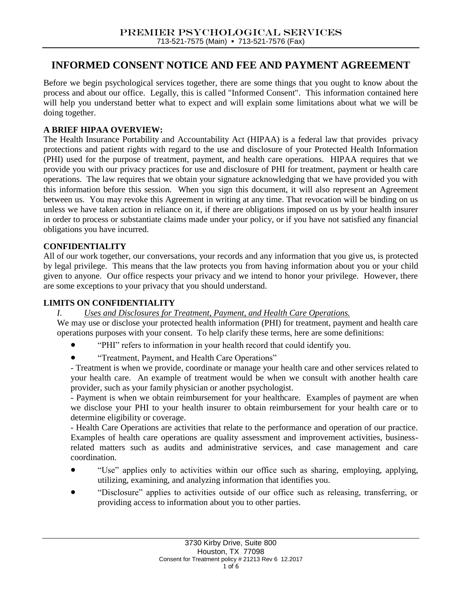# **INFORMED CONSENT NOTICE AND FEE AND PAYMENT AGREEMENT**

Before we begin psychological services together, there are some things that you ought to know about the process and about our office. Legally, this is called "Informed Consent". This information contained here will help you understand better what to expect and will explain some limitations about what we will be doing together.

# **A BRIEF HIPAA OVERVIEW:**

The Health Insurance Portability and Accountability Act (HIPAA) is a federal law that provides privacy protections and patient rights with regard to the use and disclosure of your Protected Health Information (PHI) used for the purpose of treatment, payment, and health care operations. HIPAA requires that we provide you with our privacy practices for use and disclosure of PHI for treatment, payment or health care operations. The law requires that we obtain your signature acknowledging that we have provided you with this information before this session. When you sign this document, it will also represent an Agreement between us. You may revoke this Agreement in writing at any time. That revocation will be binding on us unless we have taken action in reliance on it, if there are obligations imposed on us by your health insurer in order to process or substantiate claims made under your policy, or if you have not satisfied any financial obligations you have incurred.

# **CONFIDENTIALITY**

All of our work together, our conversations, your records and any information that you give us, is protected by legal privilege. This means that the law protects you from having information about you or your child given to anyone. Our office respects your privacy and we intend to honor your privilege. However, there are some exceptions to your privacy that you should understand.

### **LIMITS ON CONFIDENTIALITY**

# *I. Uses and Disclosures for Treatment, Payment, and Health Care Operations.*

We may use or disclose your protected health information (PHI) for treatment, payment and health care operations purposes with your consent. To help clarify these terms, here are some definitions:

- "PHI" refers to information in your health record that could identify you.
- "Treatment, Payment, and Health Care Operations"

- Treatment is when we provide, coordinate or manage your health care and other services related to your health care. An example of treatment would be when we consult with another health care provider, such as your family physician or another psychologist.

- Payment is when we obtain reimbursement for your healthcare. Examples of payment are when we disclose your PHI to your health insurer to obtain reimbursement for your health care or to determine eligibility or coverage.

- Health Care Operations are activities that relate to the performance and operation of our practice. Examples of health care operations are quality assessment and improvement activities, businessrelated matters such as audits and administrative services, and case management and care coordination.

- "Use" applies only to activities within our office such as sharing, employing, applying, utilizing, examining, and analyzing information that identifies you.
- "Disclosure" applies to activities outside of our office such as releasing, transferring, or providing access to information about you to other parties.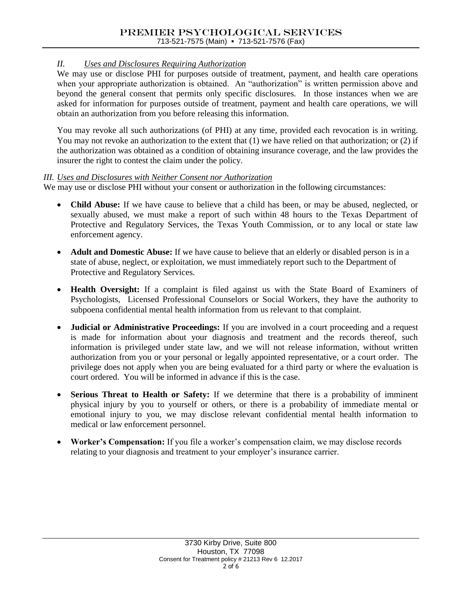# *II. Uses and Disclosures Requiring Authorization*

We may use or disclose PHI for purposes outside of treatment, payment, and health care operations when your appropriate authorization is obtained. An "authorization" is written permission above and beyond the general consent that permits only specific disclosures. In those instances when we are asked for information for purposes outside of treatment, payment and health care operations, we will obtain an authorization from you before releasing this information.

You may revoke all such authorizations (of PHI) at any time, provided each revocation is in writing. You may not revoke an authorization to the extent that (1) we have relied on that authorization; or (2) if the authorization was obtained as a condition of obtaining insurance coverage, and the law provides the insurer the right to contest the claim under the policy.

### *III. Uses and Disclosures with Neither Consent nor Authorization*

We may use or disclose PHI without your consent or authorization in the following circumstances:

- **Child Abuse:** If we have cause to believe that a child has been, or may be abused, neglected, or sexually abused, we must make a report of such within 48 hours to the Texas Department of Protective and Regulatory Services, the Texas Youth Commission, or to any local or state law enforcement agency.
- **Adult and Domestic Abuse:** If we have cause to believe that an elderly or disabled person is in a state of abuse, neglect, or exploitation, we must immediately report such to the Department of Protective and Regulatory Services.
- **Health Oversight:** If a complaint is filed against us with the State Board of Examiners of Psychologists, Licensed Professional Counselors or Social Workers, they have the authority to subpoena confidential mental health information from us relevant to that complaint.
- **Judicial or Administrative Proceedings:** If you are involved in a court proceeding and a request is made for information about your diagnosis and treatment and the records thereof, such information is privileged under state law, and we will not release information, without written authorization from you or your personal or legally appointed representative, or a court order. The privilege does not apply when you are being evaluated for a third party or where the evaluation is court ordered. You will be informed in advance if this is the case.
- **Serious Threat to Health or Safety:** If we determine that there is a probability of imminent physical injury by you to yourself or others, or there is a probability of immediate mental or emotional injury to you, we may disclose relevant confidential mental health information to medical or law enforcement personnel.
- **Worker's Compensation:** If you file a worker's compensation claim, we may disclose records relating to your diagnosis and treatment to your employer's insurance carrier.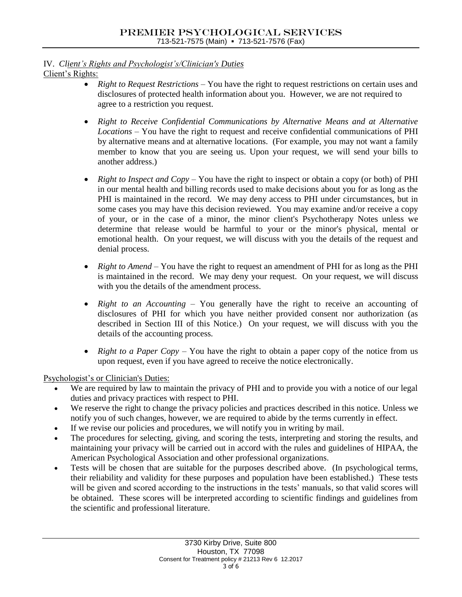#### IV. *Client's Rights and Psychologist's/Clinician's Duties* Client's Rights:

- *Right to Request Restrictions*  You have the right to request restrictions on certain uses and disclosures of protected health information about you. However, we are not required to agree to a restriction you request.
- *Right to Receive Confidential Communications by Alternative Means and at Alternative Locations* – You have the right to request and receive confidential communications of PHI by alternative means and at alternative locations. (For example, you may not want a family member to know that you are seeing us. Upon your request, we will send your bills to another address.)
- *Right to Inspect and Copy* You have the right to inspect or obtain a copy (or both) of PHI in our mental health and billing records used to make decisions about you for as long as the PHI is maintained in the record. We may deny access to PHI under circumstances, but in some cases you may have this decision reviewed. You may examine and/or receive a copy of your, or in the case of a minor, the minor client's Psychotherapy Notes unless we determine that release would be harmful to your or the minor's physical, mental or emotional health. On your request, we will discuss with you the details of the request and denial process.
- *Right to Amend* You have the right to request an amendment of PHI for as long as the PHI is maintained in the record. We may deny your request. On your request, we will discuss with you the details of the amendment process.
- *Right to an Accounting* You generally have the right to receive an accounting of disclosures of PHI for which you have neither provided consent nor authorization (as described in Section III of this Notice.) On your request, we will discuss with you the details of the accounting process.
- *Right to a Paper Copy* You have the right to obtain a paper copy of the notice from us upon request, even if you have agreed to receive the notice electronically.

Psychologist's or Clinician's Duties:

- We are required by law to maintain the privacy of PHI and to provide you with a notice of our legal duties and privacy practices with respect to PHI.
- We reserve the right to change the privacy policies and practices described in this notice. Unless we notify you of such changes, however, we are required to abide by the terms currently in effect.
- If we revise our policies and procedures, we will notify you in writing by mail.
- The procedures for selecting, giving, and scoring the tests, interpreting and storing the results, and maintaining your privacy will be carried out in accord with the rules and guidelines of HIPAA, the American Psychological Association and other professional organizations.
- Tests will be chosen that are suitable for the purposes described above. (In psychological terms, their reliability and validity for these purposes and population have been established.) These tests will be given and scored according to the instructions in the tests' manuals, so that valid scores will be obtained. These scores will be interpreted according to scientific findings and guidelines from the scientific and professional literature.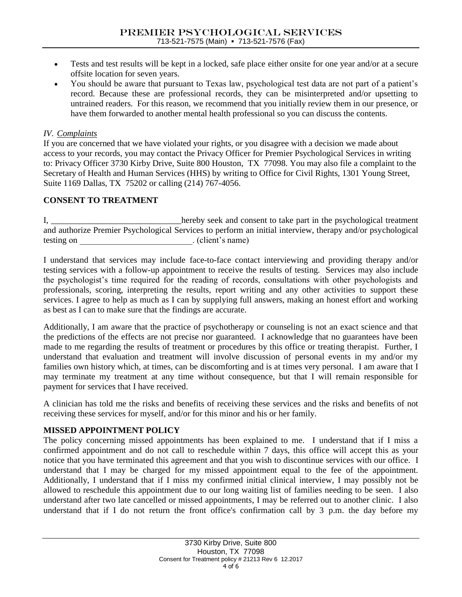- Tests and test results will be kept in a locked, safe place either onsite for one year and/or at a secure offsite location for seven years.
- You should be aware that pursuant to Texas law, psychological test data are not part of a patient's record. Because these are professional records, they can be misinterpreted and/or upsetting to untrained readers. For this reason, we recommend that you initially review them in our presence, or have them forwarded to another mental health professional so you can discuss the contents.

### *IV. Complaints*

If you are concerned that we have violated your rights, or you disagree with a decision we made about access to your records, you may contact the Privacy Officer for Premier Psychological Services in writing to: Privacy Officer 3730 Kirby Drive, Suite 800 Houston, TX 77098. You may also file a complaint to the Secretary of Health and Human Services (HHS) by writing to Office for Civil Rights, 1301 Young Street, Suite 1169 Dallas, TX 75202 or calling (214) 767-4056.

### **CONSENT TO TREATMENT**

I, \_\_\_\_\_\_\_\_\_\_\_\_\_\_\_\_\_\_\_\_\_\_\_\_\_\_\_\_hereby seek and consent to take part in the psychological treatment and authorize Premier Psychological Services to perform an initial interview, therapy and/or psychological testing on client's name)

I understand that services may include face-to-face contact interviewing and providing therapy and/or testing services with a follow-up appointment to receive the results of testing. Services may also include the psychologist's time required for the reading of records, consultations with other psychologists and professionals, scoring, interpreting the results, report writing and any other activities to support these services. I agree to help as much as I can by supplying full answers, making an honest effort and working as best as I can to make sure that the findings are accurate.

Additionally, I am aware that the practice of psychotherapy or counseling is not an exact science and that the predictions of the effects are not precise nor guaranteed. I acknowledge that no guarantees have been made to me regarding the results of treatment or procedures by this office or treating therapist. Further, I understand that evaluation and treatment will involve discussion of personal events in my and/or my families own history which, at times, can be discomforting and is at times very personal. I am aware that I may terminate my treatment at any time without consequence, but that I will remain responsible for payment for services that I have received.

A clinician has told me the risks and benefits of receiving these services and the risks and benefits of not receiving these services for myself, and/or for this minor and his or her family.

### **MISSED APPOINTMENT POLICY**

The policy concerning missed appointments has been explained to me. I understand that if I miss a confirmed appointment and do not call to reschedule within 7 days, this office will accept this as your notice that you have terminated this agreement and that you wish to discontinue services with our office. I understand that I may be charged for my missed appointment equal to the fee of the appointment. Additionally, I understand that if I miss my confirmed initial clinical interview, I may possibly not be allowed to reschedule this appointment due to our long waiting list of families needing to be seen. I also understand after two late cancelled or missed appointments, I may be referred out to another clinic. I also understand that if I do not return the front office's confirmation call by 3 p.m. the day before my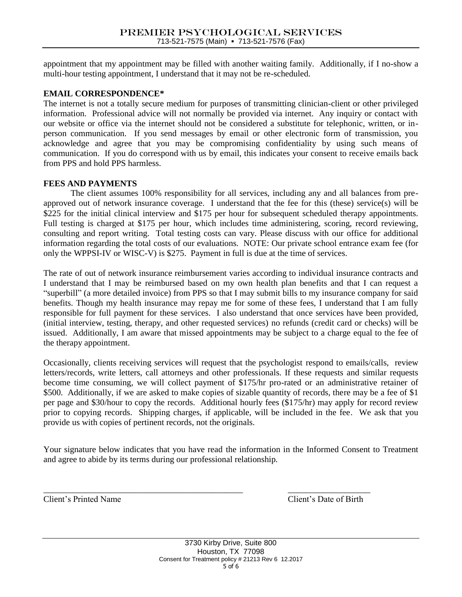appointment that my appointment may be filled with another waiting family. Additionally, if I no-show a multi-hour testing appointment, I understand that it may not be re-scheduled.

### **EMAIL CORRESPONDENCE\***

The internet is not a totally secure medium for purposes of transmitting clinician-client or other privileged information. Professional advice will not normally be provided via internet. Any inquiry or contact with our website or office via the internet should not be considered a substitute for telephonic, written, or inperson communication. If you send messages by email or other electronic form of transmission, you acknowledge and agree that you may be compromising confidentiality by using such means of communication. If you do correspond with us by email, this indicates your consent to receive emails back from PPS and hold PPS harmless.

### **FEES AND PAYMENTS**

The client assumes 100% responsibility for all services, including any and all balances from preapproved out of network insurance coverage. I understand that the fee for this (these) service(s) will be \$225 for the initial clinical interview and \$175 per hour for subsequent scheduled therapy appointments. Full testing is charged at \$175 per hour, which includes time administering, scoring, record reviewing, consulting and report writing. Total testing costs can vary. Please discuss with our office for additional information regarding the total costs of our evaluations. NOTE: Our private school entrance exam fee (for only the WPPSI-IV or WISC-V) is \$275. Payment in full is due at the time of services.

The rate of out of network insurance reimbursement varies according to individual insurance contracts and I understand that I may be reimbursed based on my own health plan benefits and that I can request a "superbill" (a more detailed invoice) from PPS so that I may submit bills to my insurance company for said benefits. Though my health insurance may repay me for some of these fees, I understand that I am fully responsible for full payment for these services. I also understand that once services have been provided, (initial interview, testing, therapy, and other requested services) no refunds (credit card or checks) will be issued. Additionally, I am aware that missed appointments may be subject to a charge equal to the fee of the therapy appointment.

Occasionally, clients receiving services will request that the psychologist respond to emails/calls, review letters/records, write letters, call attorneys and other professionals. If these requests and similar requests become time consuming, we will collect payment of \$175/hr pro-rated or an administrative retainer of \$500. Additionally, if we are asked to make copies of sizable quantity of records, there may be a fee of \$1 per page and \$30/hour to copy the records. Additional hourly fees (\$175/hr) may apply for record review prior to copying records. Shipping charges, if applicable, will be included in the fee. We ask that you provide us with copies of pertinent records, not the originals.

Your signature below indicates that you have read the information in the Informed Consent to Treatment and agree to abide by its terms during our professional relationship.

\_\_\_\_\_\_\_\_\_\_\_\_\_\_\_\_\_\_\_\_\_\_\_\_\_\_\_\_\_\_\_\_\_\_\_\_\_\_\_\_\_\_\_\_\_\_ \_\_\_\_\_\_\_\_\_\_\_\_\_\_\_\_\_\_\_ Client's Printed Name Client's Date of Birth